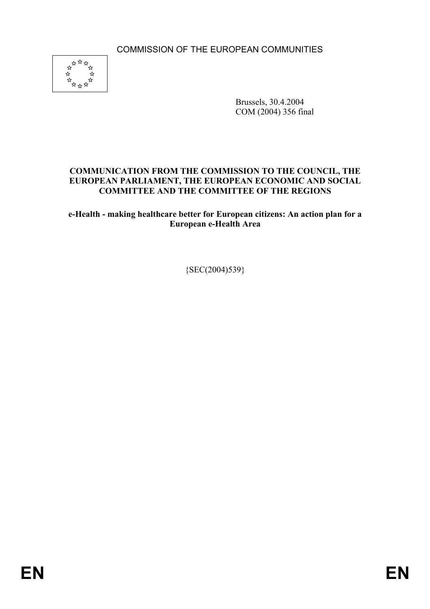COMMISSION OF THE EUROPEAN COMMUNITIES



Brussels, 30.4.2004 COM (2004) 356 final

#### **COMMUNICATION FROM THE COMMISSION TO THE COUNCIL, THE EUROPEAN PARLIAMENT, THE EUROPEAN ECONOMIC AND SOCIAL COMMITTEE AND THE COMMITTEE OF THE REGIONS**

**e-Health - making healthcare better for European citizens: An action plan for a European e-Health Area** 

{SEC(2004)539}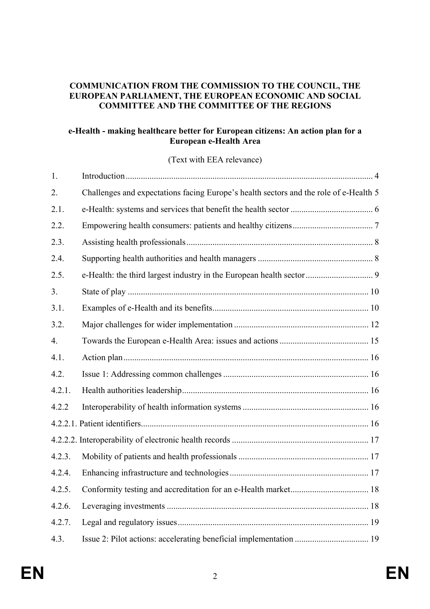#### **COMMUNICATION FROM THE COMMISSION TO THE COUNCIL, THE EUROPEAN PARLIAMENT, THE EUROPEAN ECONOMIC AND SOCIAL COMMITTEE AND THE COMMITTEE OF THE REGIONS**

#### **e-Health - making healthcare better for European citizens: An action plan for a European e-Health Area**

(Text with EEA relevance)

| 1.     |                                                                                       |  |
|--------|---------------------------------------------------------------------------------------|--|
| 2.     | Challenges and expectations facing Europe's health sectors and the role of e-Health 5 |  |
| 2.1.   |                                                                                       |  |
| 2.2.   |                                                                                       |  |
| 2.3.   |                                                                                       |  |
| 2.4.   |                                                                                       |  |
| 2.5.   |                                                                                       |  |
| 3.     |                                                                                       |  |
| 3.1.   |                                                                                       |  |
| 3.2.   |                                                                                       |  |
| 4.     |                                                                                       |  |
| 4.1.   |                                                                                       |  |
| 4.2.   |                                                                                       |  |
| 4.2.1. |                                                                                       |  |
| 4.2.2  |                                                                                       |  |
|        |                                                                                       |  |
|        |                                                                                       |  |
| 4.2.3. |                                                                                       |  |
| 4.2.4. |                                                                                       |  |
| 4.2.5. |                                                                                       |  |
| 4.2.6. |                                                                                       |  |
| 4.2.7. |                                                                                       |  |
| 4.3.   |                                                                                       |  |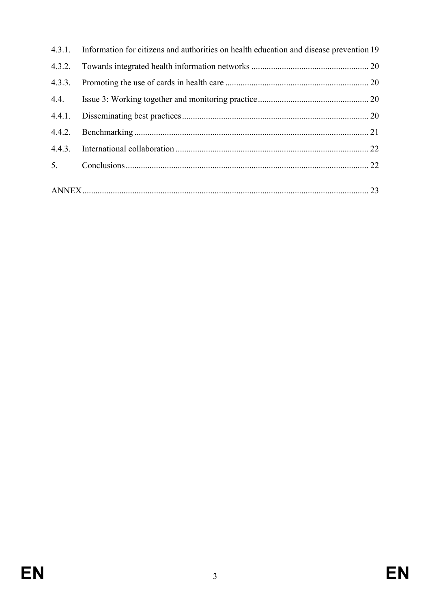|        | 4.3.1. Information for citizens and authorities on health education and disease prevention 19 |  |
|--------|-----------------------------------------------------------------------------------------------|--|
| 4.3.2. |                                                                                               |  |
|        |                                                                                               |  |
|        |                                                                                               |  |
|        |                                                                                               |  |
| 4.4.2. |                                                                                               |  |
|        |                                                                                               |  |
| 5.     |                                                                                               |  |
|        |                                                                                               |  |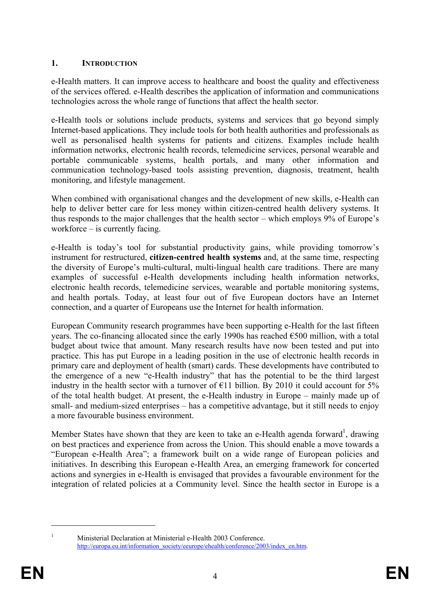#### **1. INTRODUCTION**

e-Health matters. It can improve access to healthcare and boost the quality and effectiveness of the services offered. e-Health describes the application of information and communications technologies across the whole range of functions that affect the health sector.

e-Health tools or solutions include products, systems and services that go beyond simply Internet-based applications. They include tools for both health authorities and professionals as well as personalised health systems for patients and citizens. Examples include health information networks, electronic health records, telemedicine services, personal wearable and portable communicable systems, health portals, and many other information and communication technology-based tools assisting prevention, diagnosis, treatment, health monitoring, and lifestyle management.

When combined with organisational changes and the development of new skills, e-Health can help to deliver better care for less money within citizen-centred health delivery systems. It thus responds to the major challenges that the health sector – which employs 9% of Europe's workforce – is currently facing.

e-Health is today's tool for substantial productivity gains, while providing tomorrow's instrument for restructured, **citizen-centred health systems** and, at the same time, respecting the diversity of Europe's multi-cultural, multi-lingual health care traditions. There are many examples of successful e-Health developments including health information networks, electronic health records, telemedicine services, wearable and portable monitoring systems, and health portals. Today, at least four out of five European doctors have an Internet connection, and a quarter of Europeans use the Internet for health information.

European Community research programmes have been supporting e-Health for the last fifteen years. The co-financing allocated since the early 1990s has reached €500 million, with a total budget about twice that amount. Many research results have now been tested and put into practice. This has put Europe in a leading position in the use of electronic health records in primary care and deployment of health (smart) cards. These developments have contributed to the emergence of a new "e-Health industry" that has the potential to be the third largest industry in the health sector with a turnover of  $E11$  billion. By 2010 it could account for 5% of the total health budget. At present, the e-Health industry in Europe – mainly made up of small- and medium-sized enterprises – has a competitive advantage, but it still needs to enjoy a more favourable business environment.

Member States have shown that they are keen to take an e-Health agenda forward<sup>1</sup>, drawing on best practices and experience from across the Union. This should enable a move towards a "European e-Health Area"; a framework built on a wide range of European policies and initiatives. In describing this European e-Health Area, an emerging framework for concerted actions and synergies in e-Health is envisaged that provides a favourable environment for the integration of related policies at a Community level. Since the health sector in Europe is a

Ministerial Declaration at Ministerial e-Health 2003 Conference. http://europa.eu.int/information\_society/eeurope/ehealth/conference/2003/index\_en.htm.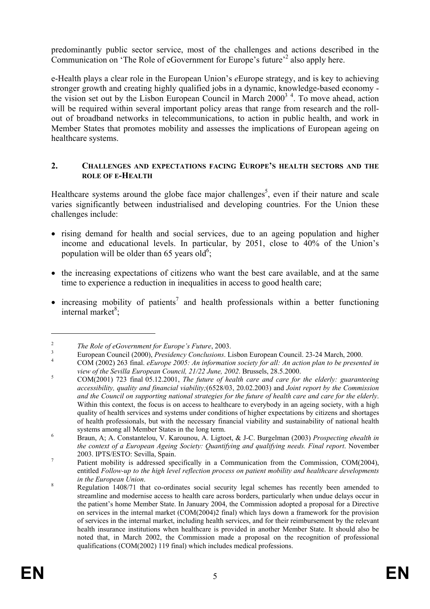predominantly public sector service, most of the challenges and actions described in the Communication on 'The Role of eGovernment for Europe's future'<sup>2</sup> also apply here.

e-Health plays a clear role in the European Union's *e*Europe strategy, and is key to achieving stronger growth and creating highly qualified jobs in a dynamic, knowledge-based economy the vision set out by the Lisbon European Council in March  $2000<sup>3</sup>$ <sup>4</sup>. To move ahead, action will be required within several important policy areas that range from research and the rollout of broadband networks in telecommunications, to action in public health, and work in Member States that promotes mobility and assesses the implications of European ageing on healthcare systems.

#### **2. CHALLENGES AND EXPECTATIONS FACING EUROPE'S HEALTH SECTORS AND THE ROLE OF E-HEALTH**

Healthcare systems around the globe face major challenges<sup>5</sup>, even if their nature and scale varies significantly between industrialised and developing countries. For the Union these challenges include:

- rising demand for health and social services, due to an ageing population and higher income and educational levels. In particular, by 2051, close to 40% of the Union's population will be older than 65 years old<sup>6</sup>;
- the increasing expectations of citizens who want the best care available, and at the same time to experience a reduction in inequalities in access to good health care;
- increasing mobility of patients<sup>7</sup> and health professionals within a better functioning internal market $s$ ;

<sup>&</sup>lt;sup>2</sup> *The Role of eGovernment for Europe's Future*, 2003.

<sup>&</sup>lt;sup>3</sup><br>European Council (2000), *Presidency Conclusions*. Lisbon European Council. 23-24 March, 2000.

COM (2002) 263 final. *eEurope 2005: An information society for all: An action plan to be presented in view of the Sevilla European Council, 21/22 June, 2002.* Brussels, 28.5.2000.

COM(2001) 723 final 05.12.2001, *The future of health care and care for the elderly: guaranteeing accessibility, quality and financial viability;*(6528/03, 20.02.2003) and *Joint report by the Commission and the Council on supporting national strategies for the future of health care and care for the elderly*. Within this context, the focus is on access to healthcare to everybody in an ageing society, with a high quality of health services and systems under conditions of higher expectations by citizens and shortages of health professionals, but with the necessary financial viability and sustainability of national health systems among all Member States in the long term.

Braun, A; A. Constantelou, V. Karounou, A. Ligtoet, & J-C. Burgelman (2003) *Prospecting ehealth in the context of a European Ageing Society: Quantifying and qualifying needs. Final report*. November 2003. IPTS/ESTO: Sevilla, Spain.

Patient mobility is addressed specifically in a Communication from the Commission, COM(2004), entitled *Follow-up to the high level reflection process on patient mobility and healthcare developments in the European Union.*<br><sup>8</sup> Preseletion 1408/71, the

Regulation 1408/71 that co-ordinates social security legal schemes has recently been amended to streamline and modernise access to health care across borders, particularly when undue delays occur in the patient's home Member State. In January 2004, the Commission adopted a proposal for a Directive on services in the internal market (COM(2004)2 final) which lays down a framework for the provision of services in the internal market, including health services, and for their reimbursement by the relevant health insurance institutions when healthcare is provided in another Member State. It should also be noted that, in March 2002, the Commission made a proposal on the recognition of professional qualifications (COM(2002) 119 final) which includes medical professions.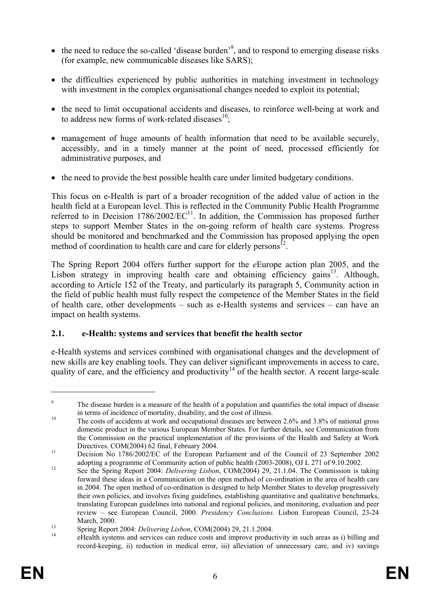- $\bullet$  the need to reduce the so-called 'disease burden'<sup>9</sup>, and to respond to emerging disease risks (for example, new communicable diseases like SARS);
- the difficulties experienced by public authorities in matching investment in technology with investment in the complex organisational changes needed to exploit its potential;
- the need to limit occupational accidents and diseases, to reinforce well-being at work and to address new forms of work-related diseases $^{10}$ .
- management of huge amounts of health information that need to be available securely, accessibly, and in a timely manner at the point of need, processed efficiently for administrative purposes, and
- the need to provide the best possible health care under limited budgetary conditions.

This focus on e-Health is part of a broader recognition of the added value of action in the health field at a European level. This is reflected in the Community Public Health Programme referred to in Decision 1786/2002/ $EC^{11}$ . In addition, the Commission has proposed further steps to support Member States in the on-going reform of health care systems. Progress should be monitored and benchmarked and the Commission has proposed applying the open method of coordination to health care and care for elderly persons $^{12}$ .

The Spring Report 2004 offers further support for the *e*Europe action plan 2005, and the Lisbon strategy in improving health care and obtaining efficiency gains $13$ . Although, according to Article 152 of the Treaty, and particularly its paragraph 5, Community action in the field of public health must fully respect the competence of the Member States in the field of health care, other developments – such as e-Health systems and services – can have an impact on health systems.

## **2.1. e-Health: systems and services that benefit the health sector**

e-Health systems and services combined with organisational changes and the development of new skills are key enabling tools. They can deliver significant improvements in access to care, quality of care, and the efficiency and productivity<sup>14</sup> of the health sector. A recent large-scale

<sup>9</sup> The disease burden is a measure of the health of a population and quantifies the total impact of disease

in terms of incidence of mortality, disability, and the cost of illness.<br><sup>10</sup> The costs of accidents at work and occupational diseases are between 2.6% and 3.8% of national gross domestic product in the various European Member States. For further details, see Communication from the Commission on the practical implementation of the provisions of the Health and Safety at Work Directives. COM(2004) 62 final, February 2004.<br>
11 Decision No 1786/2002/EC of the European Parliament and of the Council of 23 September 2002

adopting a programme of Community action of public health (2003-2008), OJ L 271 of 9.10.2002.<br><sup>12</sup> See the Spring Report 2004: *Delivering Lisbon*, COM(2004) 29, 21.1.04. The Commission is taking

forward these ideas in a Communication on the open method of co-ordination in the area of health care in 2004. The open method of co-ordination is designed to help Member States to develop progressively their own policies, and involves fixing guidelines, establishing quantitative and qualitative benchmarks, translating European guidelines into national and regional policies, and monitoring, evaluation and peer review – see European Council, 2000. *Presidency Conclusions.* Lisbon European Council, 23-24 March, 2000.<br>
13 Spring Report 2004: *Delivering Lisbon*, COM(2004) 29, 21.1.2004.<br>
14 eHealth systems and services can reduce costs and improve productivity in such areas as i) billing and

record-keeping, ii) reduction in medical error, iii) alleviation of unnecessary care, and iv) savings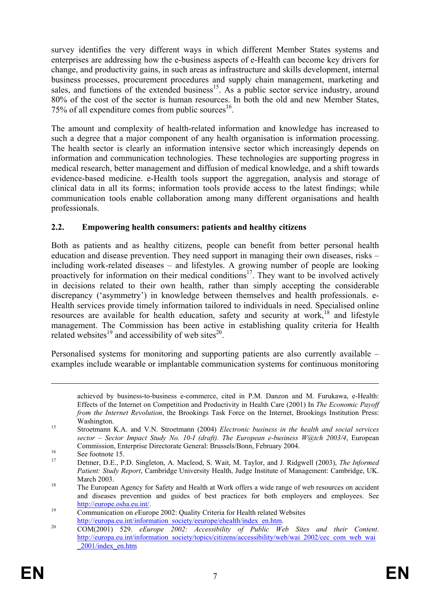survey identifies the very different ways in which different Member States systems and enterprises are addressing how the e-business aspects of e-Health can become key drivers for change, and productivity gains, in such areas as infrastructure and skills development, internal business processes, procurement procedures and supply chain management, marketing and sales, and functions of the extended business<sup>15</sup>. As a public sector service industry, around 80% of the cost of the sector is human resources. In both the old and new Member States, 75% of all expenditure comes from public sources<sup>16</sup>.

The amount and complexity of health-related information and knowledge has increased to such a degree that a major component of any health organisation is information processing. The health sector is clearly an information intensive sector which increasingly depends on information and communication technologies. These technologies are supporting progress in medical research, better management and diffusion of medical knowledge, and a shift towards evidence-based medicine. e-Health tools support the aggregation, analysis and storage of clinical data in all its forms; information tools provide access to the latest findings; while communication tools enable collaboration among many different organisations and health professionals.

## **2.2. Empowering health consumers: patients and healthy citizens**

Both as patients and as healthy citizens, people can benefit from better personal health education and disease prevention. They need support in managing their own diseases, risks – including work-related diseases – and lifestyles. A growing number of people are looking proactively for information on their medical conditions<sup>17</sup>. They want to be involved actively in decisions related to their own health, rather than simply accepting the considerable discrepancy ('asymmetry') in knowledge between themselves and health professionals. e-Health services provide timely information tailored to individuals in need. Specialised online resources are available for health education, safety and security at work,<sup>18</sup> and lifestyle management. The Commission has been active in establishing quality criteria for Health related websites<sup>19</sup> and accessibility of web sites<sup>20</sup>.

Personalised systems for monitoring and supporting patients are also currently available – examples include wearable or implantable communication systems for continuous monitoring

achieved by business-to-business e-commerce, cited in P.M. Danzon and M. Furukawa, e-Health: Effects of the Internet on Competition and Productivity in Health Care (2001) In *The Economic Payoff from the Internet Revolution*, the Brookings Task Force on the Internet, Brookings Institution Press:

Washington.<br><sup>15</sup> Stroetmann K.A. and V.N. Stroetmann (2004) *Electronic business in the health and social services sector – Sector Impact Study No. 10-I (draft). The European e-business W@tch 2003/4*, European Commission, Enterprise Directorate General: Brussels/Bonn, February 2004.<br>
See footnote 15.<br>
Native A. Market S. Weit, M. Technical J. Didn

<sup>17</sup> Detmer, D.E., P.D. Singleton, A. Macleod, S. Wait, M. Taylor, and J. Ridgwell (2003), *The Informed Patient: Study Report*, Cambridge University Health, Judge Institute of Management: Cambridge, UK. March 2003.<br>
The European Agency for Safety and Health at Work offers a wide range of web resources on accident

and diseases prevention and guides of best practices for both employers and employees. See http://europe.osha.eu.int/.<br>
Communication on *e*Europe 2002: Quality Criteria for Health related Websites

http://europa.eu.int/information\_society/eeurope/ehealth/index\_en.htm. 20 COM(2001) 529. *eEurope 2002: Accessibility of Public Web Sites and their Content*. http://europa.eu.int/information\_society/topics/citizens/accessibility/web/wai\_2002/cec\_com\_web\_wai \_2001/index\_en.htm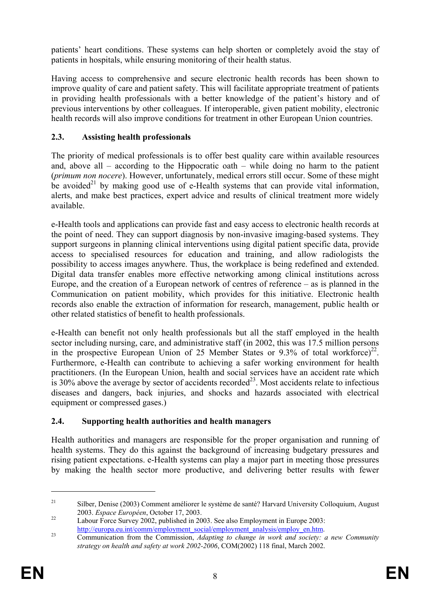patients' heart conditions. These systems can help shorten or completely avoid the stay of patients in hospitals, while ensuring monitoring of their health status.

Having access to comprehensive and secure electronic health records has been shown to improve quality of care and patient safety. This will facilitate appropriate treatment of patients in providing health professionals with a better knowledge of the patient's history and of previous interventions by other colleagues. If interoperable, given patient mobility, electronic health records will also improve conditions for treatment in other European Union countries.

## **2.3. Assisting health professionals**

The priority of medical professionals is to offer best quality care within available resources and, above all – according to the Hippocratic oath – while doing no harm to the patient (*primum non nocere*). However, unfortunately, medical errors still occur. Some of these might be avoided<sup>21</sup> by making good use of e-Health systems that can provide vital information, alerts, and make best practices, expert advice and results of clinical treatment more widely available.

e-Health tools and applications can provide fast and easy access to electronic health records at the point of need. They can support diagnosis by non-invasive imaging-based systems. They support surgeons in planning clinical interventions using digital patient specific data, provide access to specialised resources for education and training, and allow radiologists the possibility to access images anywhere. Thus, the workplace is being redefined and extended. Digital data transfer enables more effective networking among clinical institutions across Europe, and the creation of a European network of centres of reference – as is planned in the Communication on patient mobility, which provides for this initiative. Electronic health records also enable the extraction of information for research, management, public health or other related statistics of benefit to health professionals.

e-Health can benefit not only health professionals but all the staff employed in the health sector including nursing, care, and administrative staff (in 2002, this was 17.5 million persons in the prospective European Union of 25 Member States or 9.3% of total workforce)<sup>22</sup>. Furthermore, e-Health can contribute to achieving a safer working environment for health practitioners. (In the European Union, health and social services have an accident rate which is 30% above the average by sector of accidents recorded<sup>23</sup>. Most accidents relate to infectious diseases and dangers, back injuries, and shocks and hazards associated with electrical equipment or compressed gases.)

# **2.4. Supporting health authorities and health managers**

Health authorities and managers are responsible for the proper organisation and running of health systems. They do this against the background of increasing budgetary pressures and rising patient expectations. e-Health systems can play a major part in meeting those pressures by making the health sector more productive, and delivering better results with fewer

<sup>&</sup>lt;sup>21</sup> Silber, Denise (2003) Comment améliorer le système de santé? Harvard University Colloquium, August 2003. *Espace Européen*, October 17, 2003. 22 Labour Force Survey 2002, published in 2003. See also Employment in Europe 2003:

http://europa.eu.int/comm/employment\_social/employment\_analysis/employ\_en.htm. 23 Communication from the Commission, *Adapting to change in work and society: a new Community* 

*strategy on health and safety at work 2002-2006*, COM(2002) 118 final, March 2002.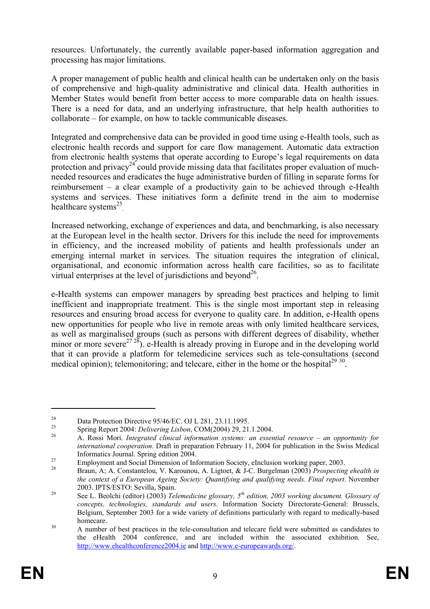resources. Unfortunately, the currently available paper-based information aggregation and processing has major limitations.

A proper management of public health and clinical health can be undertaken only on the basis of comprehensive and high-quality administrative and clinical data. Health authorities in Member States would benefit from better access to more comparable data on health issues. There is a need for data, and an underlying infrastructure, that help health authorities to collaborate – for example, on how to tackle communicable diseases.

Integrated and comprehensive data can be provided in good time using e-Health tools, such as electronic health records and support for care flow management. Automatic data extraction from electronic health systems that operate according to Europe's legal requirements on data protection and privacy<sup>24</sup> could provide missing data that facilitates proper evaluation of muchneeded resources and eradicates the huge administrative burden of filling in separate forms for reimbursement – a clear example of a productivity gain to be achieved through e-Health systems and services. These initiatives form a definite trend in the aim to modernise healthcare systems<sup>25</sup>

Increased networking, exchange of experiences and data, and benchmarking, is also necessary at the European level in the health sector. Drivers for this include the need for improvements in efficiency, and the increased mobility of patients and health professionals under an emerging internal market in services. The situation requires the integration of clinical, organisational, and economic information across health care facilities, so as to facilitate virtual enterprises at the level of jurisdictions and beyond<sup>26</sup>.

e-Health systems can empower managers by spreading best practices and helping to limit inefficient and inappropriate treatment. This is the single most important step in releasing resources and ensuring broad access for everyone to quality care. In addition, e-Health opens new opportunities for people who live in remote areas with only limited healthcare services, as well as marginalised groups (such as persons with different degrees of disability, whether minor or more severe<sup>27 28</sup>). e-Health is already proving in Europe and in the developing world that it can provide a platform for telemedicine services such as tele-consultations (second medical opinion); telemonitoring; and telecare, either in the home or the hospital $^{29}$   $^{30}$ .

<sup>&</sup>lt;sup>24</sup> Data Protection Directive 95/46/EC. OJ L 281, 23.11.1995.<br><sup>25</sup> Spains Papert 2004: *Delivering Lights, COM*(2004) 29, 21.

<sup>&</sup>lt;sup>25</sup> Spring Report 2004: *Delivering Lisbon*, COM(2004) 29, 21.1.2004.<br><sup>26</sup> A. Rossi Mori. *Integrated clinical information systems: an essential resource – an opportunity for international cooperation*. Draft in preparation February 11, 2004 for publication in the Swiss Medical Informatics Journal. Spring edition 2004.<br>
<sup>27</sup> Employment and Social Dimension of Information Society, eInclusion working paper, 2003.

<sup>28</sup> Braun, A; A. Constantelou, V. Karounou, A. Ligtoet, & J-C. Burgelman (2003) *Prospecting ehealth in the context of a European Ageing Society: Quantifying and qualifying needs. Final report*. November

<sup>2003.</sup> IPTS/ESTO: Sevilla, Spain.<br><sup>29</sup> See L. Beolchi (editor) (2003) *Telemedicine glossary, 5<sup>th</sup> edition, 2003 working document. Glossary of concepts, technologies, standards and users*. Information Society Directorate-General: Brussels, Belgium, September 2003 for a wide variety of definitions particularly with regard to medically-based

homecare.<br>
<sup>30</sup> A number of best practices in the tele-consultation and telecare field were submitted as candidates to the eHealth 2004 conference, and are included within the associated exhibition. See, http://www.ehealthconference2004.ie and http://www.e-europeawards.org/.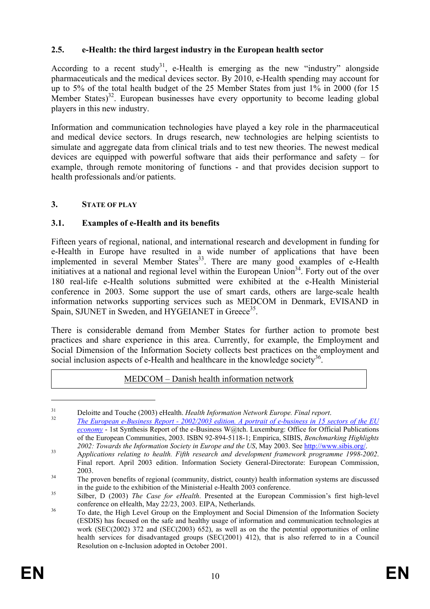## **2.5. e-Health: the third largest industry in the European health sector**

According to a recent study<sup>31</sup>, e-Health is emerging as the new "industry" alongside pharmaceuticals and the medical devices sector. By 2010, e-Health spending may account for up to 5% of the total health budget of the 25 Member States from just 1% in 2000 (for 15 Member States)<sup>32</sup>. European businesses have every opportunity to become leading global players in this new industry.

Information and communication technologies have played a key role in the pharmaceutical and medical device sectors. In drugs research, new technologies are helping scientists to simulate and aggregate data from clinical trials and to test new theories. The newest medical devices are equipped with powerful software that aids their performance and safety – for example, through remote monitoring of functions - and that provides decision support to health professionals and/or patients.

## **3. STATE OF PLAY**

## **3.1. Examples of e-Health and its benefits**

Fifteen years of regional, national, and international research and development in funding for e-Health in Europe have resulted in a wide number of applications that have been implemented in several Member States $33$ . There are many good examples of e-Health initiatives at a national and regional level within the European Union<sup>34</sup>. Forty out of the over 180 real-life e-Health solutions submitted were exhibited at the e-Health Ministerial conference in 2003. Some support the use of smart cards, others are large-scale health information networks supporting services such as MEDCOM in Denmark, EVISAND in Spain, SJUNET in Sweden, and HYGEIANET in Greece<sup>35</sup>.

There is considerable demand from Member States for further action to promote best practices and share experience in this area. Currently, for example, the Employment and Social Dimension of the Information Society collects best practices on the employment and social inclusion aspects of e-Health and healthcare in the knowledge society<sup>36</sup>.

## MEDCOM – Danish health information network

<sup>31</sup> Deloitte and Touche (2003) eHealth. *Health Information Network Europe. Final report*. 32 *The European e-Business Report - 2002/2003 edition. A portrait of e-business in 15 sectors of the EU economy* - 1st Synthesis Report of the e-Business W@tch. Luxemburg: Office for Official Publications of the European Communities, 2003. ISBN 92-894-5118-1; Empirica, SIBIS, *Benchmarking Highlights* 

*<sup>2002:</sup> Towards the Information Society in Europe and the US*, May 2003. See http://www.sibis.org/. 33 A*pplications relating to health. Fifth research and development framework programme 1998-2002*. Final report. April 2003 edition. Information Society General-Directorate: European Commission, <sup>34</sup> <sup>2003</sup>.<br><sup>34</sup> The proven benefits of regional (community, district, county) health information systems are discussed

<sup>&</sup>lt;sup>35</sup> in the guide to the exhibition of the Ministerial e-Health 2003 conference.<br>
Silber, D (2003) *The Case for eHealth*. Presented at the European Commission's first high-level<br>
conference on eHealth, May 22/23, 2003. EI

<sup>&</sup>lt;sup>36</sup> To date, the High Level Group on the Employment and Social Dimension of the Information Society (ESDIS) has focused on the safe and healthy usage of information and communication technologies at work (SEC(2002) 372 and (SEC(2003) 652), as well as on the the potential opportunities of online health services for disadvantaged groups (SEC(2001) 412), that is also referred to in a Council Resolution on e-Inclusion adopted in October 2001.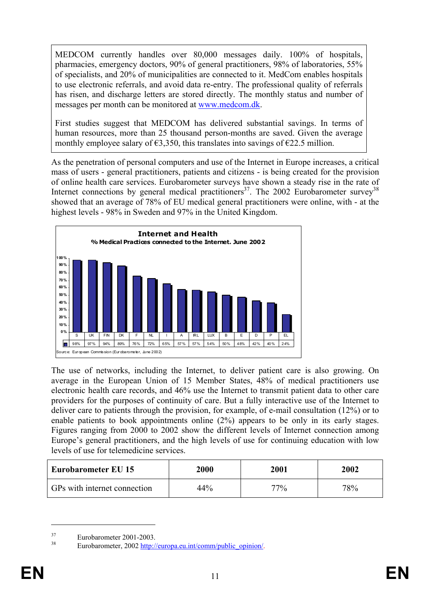MEDCOM currently handles over 80,000 messages daily. 100% of hospitals, pharmacies, emergency doctors, 90% of general practitioners, 98% of laboratories, 55% of specialists, and 20% of municipalities are connected to it. MedCom enables hospitals to use electronic referrals, and avoid data re-entry. The professional quality of referrals has risen, and discharge letters are stored directly. The monthly status and number of messages per month can be monitored at www.medcom.dk.

First studies suggest that MEDCOM has delivered substantial savings. In terms of human resources, more than 25 thousand person-months are saved. Given the average monthly employee salary of  $\epsilon$ 3,350, this translates into savings of  $\epsilon$ 22.5 million.

As the penetration of personal computers and use of the Internet in Europe increases, a critical mass of users - general practitioners, patients and citizens - is being created for the provision of online health care services. Eurobarometer surveys have shown a steady rise in the rate of Internet connections by general medical practitioners<sup>37</sup>. The 2002 Eurobarometer survey<sup>38</sup> showed that an average of 78% of EU medical general practitioners were online, with - at the highest levels - 98% in Sweden and 97% in the United Kingdom.



The use of networks, including the Internet, to deliver patient care is also growing. On average in the European Union of 15 Member States, 48% of medical practitioners use electronic health care records, and 46% use the Internet to transmit patient data to other care providers for the purposes of continuity of care. But a fully interactive use of the Internet to deliver care to patients through the provision, for example, of e-mail consultation (12%) or to enable patients to book appointments online (2%) appears to be only in its early stages. Figures ranging from 2000 to 2002 show the different levels of Internet connection among Europe's general practitioners, and the high levels of use for continuing education with low levels of use for telemedicine services.

| Eurobarometer EU 15          | <b>2000</b> | 2001 | 2002 |
|------------------------------|-------------|------|------|
| GPs with internet connection | 44%         | 77%  | 78%  |

<sup>37</sup> Eurobarometer 2001-2003.

Eurobarometer, 2002 http://europa.eu.int/comm/public\_opinion/.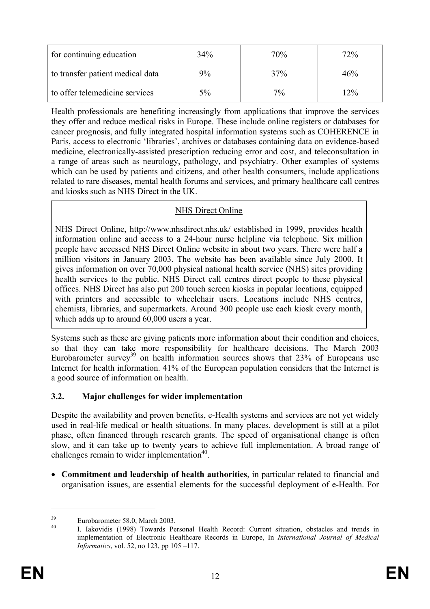| for continuing education         | $34\%$ | 70% | 72% |
|----------------------------------|--------|-----|-----|
| to transfer patient medical data | 9%     | 37% | 46% |
| to offer telemedicine services   | $5\%$  | 7%  | 12% |

Health professionals are benefiting increasingly from applications that improve the services they offer and reduce medical risks in Europe. These include online registers or databases for cancer prognosis, and fully integrated hospital information systems such as COHERENCE in Paris, access to electronic 'libraries', archives or databases containing data on evidence-based medicine, electronically-assisted prescription reducing error and cost, and teleconsultation in a range of areas such as neurology, pathology, and psychiatry. Other examples of systems which can be used by patients and citizens, and other health consumers, include applications related to rare diseases, mental health forums and services, and primary healthcare call centres and kiosks such as NHS Direct in the UK.

## NHS Direct Online

NHS Direct Online, http://www.nhsdirect.nhs.uk/ established in 1999, provides health information online and access to a 24-hour nurse helpline via telephone. Six million people have accessed NHS Direct Online website in about two years. There were half a million visitors in January 2003. The website has been available since July 2000. It gives information on over 70,000 physical national health service (NHS) sites providing health services to the public. NHS Direct call centres direct people to these physical offices. NHS Direct has also put 200 touch screen kiosks in popular locations, equipped with printers and accessible to wheelchair users. Locations include NHS centres, chemists, libraries, and supermarkets. Around 300 people use each kiosk every month, which adds up to around 60,000 users a year.

Systems such as these are giving patients more information about their condition and choices, so that they can take more responsibility for healthcare decisions. The March 2003 Eurobarometer survey<sup>39</sup> on health information sources shows that 23% of Europeans use Internet for health information. 41% of the European population considers that the Internet is a good source of information on health.

## **3.2. Major challenges for wider implementation**

Despite the availability and proven benefits, e-Health systems and services are not yet widely used in real-life medical or health situations. In many places, development is still at a pilot phase, often financed through research grants. The speed of organisational change is often slow, and it can take up to twenty years to achieve full implementation. A broad range of challenges remain to wider implementation<sup>40</sup>.

• **Commitment and leadership of health authorities**, in particular related to financial and organisation issues, are essential elements for the successful deployment of e-Health. For

 $39$  Eurobarometer 58.0, March 2003.

<sup>40</sup> I. Iakovidis (1998) Towards Personal Health Record: Current situation, obstacles and trends in implementation of Electronic Healthcare Records in Europe, In *International Journal of Medical Informatics*, vol. 52, no 123, pp 105 –117.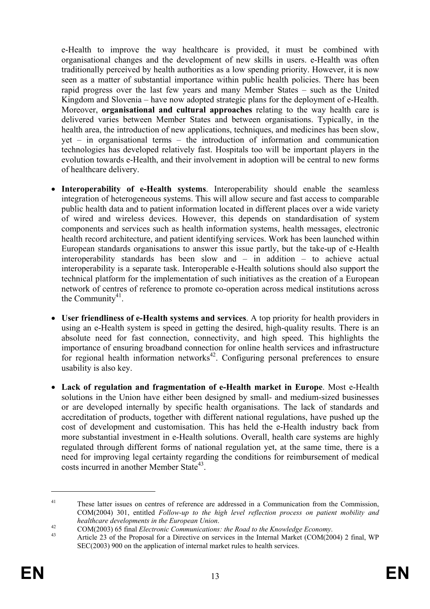e-Health to improve the way healthcare is provided, it must be combined with organisational changes and the development of new skills in users. e-Health was often traditionally perceived by health authorities as a low spending priority. However, it is now seen as a matter of substantial importance within public health policies. There has been rapid progress over the last few years and many Member States – such as the United Kingdom and Slovenia – have now adopted strategic plans for the deployment of e-Health. Moreover, **organisational and cultural approaches** relating to the way health care is delivered varies between Member States and between organisations. Typically, in the health area, the introduction of new applications, techniques, and medicines has been slow, yet – in organisational terms – the introduction of information and communication technologies has developed relatively fast. Hospitals too will be important players in the evolution towards e-Health, and their involvement in adoption will be central to new forms of healthcare delivery.

- **Interoperability of e-Health systems**. Interoperability should enable the seamless integration of heterogeneous systems. This will allow secure and fast access to comparable public health data and to patient information located in different places over a wide variety of wired and wireless devices. However, this depends on standardisation of system components and services such as health information systems, health messages, electronic health record architecture, and patient identifying services. Work has been launched within European standards organisations to answer this issue partly, but the take-up of e-Health interoperability standards has been slow and – in addition – to achieve actual interoperability is a separate task. Interoperable e-Health solutions should also support the technical platform for the implementation of such initiatives as the creation of a European network of centres of reference to promote co-operation across medical institutions across the Community $41$ .
- **User friendliness of e-Health systems and services**. A top priority for health providers in using an e-Health system is speed in getting the desired, high-quality results. There is an absolute need for fast connection, connectivity, and high speed. This highlights the importance of ensuring broadband connection for online health services and infrastructure for regional health information networks<sup>42</sup>. Configuring personal preferences to ensure usability is also key.
- **Lack of regulation and fragmentation of e-Health market in Europe**. Most e-Health solutions in the Union have either been designed by small- and medium-sized businesses or are developed internally by specific health organisations. The lack of standards and accreditation of products, together with different national regulations, have pushed up the cost of development and customisation. This has held the e-Health industry back from more substantial investment in e-Health solutions. Overall, health care systems are highly regulated through different forms of national regulation yet, at the same time, there is a need for improving legal certainty regarding the conditions for reimbursement of medical costs incurred in another Member State<sup>43</sup>.

<sup>&</sup>lt;sup>41</sup> These latter issues on centres of reference are addressed in a Communication from the Commission, COM(2004) 301, entitled *Follow-up to the high level reflection process on patient mobility and*  healthcare developments in the European Union.<br>COM(2003) 65 final *Electronic Communications: the Road to the Knowledge Economy*.<br>Article 23 of the Proposal for a Directive on services in the Internal Market (COM(2004) 2 f

SEC(2003) 900 on the application of internal market rules to health services.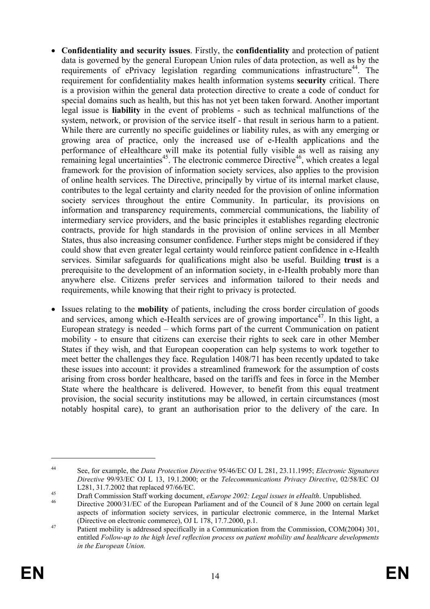- **Confidentiality and security issues**. Firstly, the **confidentiality** and protection of patient data is governed by the general European Union rules of data protection, as well as by the requirements of ePrivacy legislation regarding communications infrastructure<sup>44</sup>. The requirement for confidentiality makes health information systems **security** critical. There is a provision within the general data protection directive to create a code of conduct for special domains such as health, but this has not yet been taken forward. Another important legal issue is **liability** in the event of problems - such as technical malfunctions of the system, network, or provision of the service itself - that result in serious harm to a patient. While there are currently no specific guidelines or liability rules, as with any emerging or growing area of practice, only the increased use of e-Health applications and the performance of eHealthcare will make its potential fully visible as well as raising any remaining legal uncertainties<sup>45</sup>. The electronic commerce Directive<sup>46</sup>, which creates a legal framework for the provision of information society services, also applies to the provision of online health services. The Directive, principally by virtue of its internal market clause, contributes to the legal certainty and clarity needed for the provision of online information society services throughout the entire Community. In particular, its provisions on information and transparency requirements, commercial communications, the liability of intermediary service providers, and the basic principles it establishes regarding electronic contracts, provide for high standards in the provision of online services in all Member States, thus also increasing consumer confidence. Further steps might be considered if they could show that even greater legal certainty would reinforce patient confidence in e-Health services. Similar safeguards for qualifications might also be useful. Building **trust** is a prerequisite to the development of an information society, in e-Health probably more than anywhere else. Citizens prefer services and information tailored to their needs and requirements, while knowing that their right to privacy is protected.
- Issues relating to the **mobility** of patients, including the cross border circulation of goods and services, among which e-Health services are of growing importance<sup>47</sup>. In this light, a European strategy is needed – which forms part of the current Communication on patient mobility - to ensure that citizens can exercise their rights to seek care in other Member States if they wish, and that European cooperation can help systems to work together to meet better the challenges they face. Regulation 1408/71 has been recently updated to take these issues into account: it provides a streamlined framework for the assumption of costs arising from cross border healthcare, based on the tariffs and fees in force in the Member State where the healthcare is delivered. However, to benefit from this equal treatment provision, the social security institutions may be allowed, in certain circumstances (most notably hospital care), to grant an authorisation prior to the delivery of the care. In

<sup>44</sup> See, for example, the *Data Protection Directive* 95/46/EC OJ L 281, 23.11.1995; *Electronic Signatures Directive* 99/93/EC OJ L 13, 19.1.2000; or the *Telecommunications Privacy Directive*, 02/58/EC OJ L281, 31.7.2002 that replaced 97/66/EC.<br>
Draft Commission Staff working document, *eEurope 2002: Legal issues in eHealth*. Unpublished.<br>
Directive 2000/31/EC of the European Parliament and of the Council of 8 June 2000 on

aspects of information society services, in particular electronic commerce, in the Internal Market (Directive on electronic commerce), OJ L 178, 17.7.2000, p.1.<br>
Patient mobility is addressed specifically in a Communication from the Commission, COM(2004) 301,

entitled *Follow-up to the high level reflection process on patient mobility and healthcare developments in the European Union.*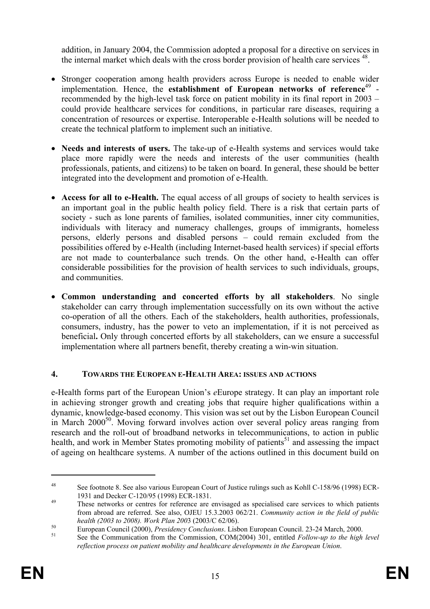addition, in January 2004, the Commission adopted a proposal for a directive on services in the internal market which deals with the cross border provision of health care services <sup>48</sup>.

- Stronger cooperation among health providers across Europe is needed to enable wider implementation. Hence, the **establishment** of European networks of reference<sup>49</sup> recommended by the high-level task force on patient mobility in its final report in 2003 – could provide healthcare services for conditions, in particular rare diseases, requiring a concentration of resources or expertise. Interoperable e-Health solutions will be needed to create the technical platform to implement such an initiative.
- **Needs and interests of users.** The take-up of e-Health systems and services would take place more rapidly were the needs and interests of the user communities (health professionals, patients, and citizens) to be taken on board. In general, these should be better integrated into the development and promotion of e-Health.
- **Access for all to e-Health.** The equal access of all groups of society to health services is an important goal in the public health policy field. There is a risk that certain parts of society - such as lone parents of families, isolated communities, inner city communities, individuals with literacy and numeracy challenges, groups of immigrants, homeless persons, elderly persons and disabled persons – could remain excluded from the possibilities offered by e-Health (including Internet-based health services) if special efforts are not made to counterbalance such trends. On the other hand, e-Health can offer considerable possibilities for the provision of health services to such individuals, groups, and communities.
- **Common understanding and concerted efforts by all stakeholders**. No single stakeholder can carry through implementation successfully on its own without the active co-operation of all the others. Each of the stakeholders, health authorities, professionals, consumers, industry, has the power to veto an implementation, if it is not perceived as beneficial**.** Only through concerted efforts by all stakeholders, can we ensure a successful implementation where all partners benefit, thereby creating a win-win situation.

#### **4. TOWARDS THE EUROPEAN E-HEALTH AREA: ISSUES AND ACTIONS**

e-Health forms part of the European Union's *e*Europe strategy. It can play an important role in achieving stronger growth and creating jobs that require higher qualifications within a dynamic, knowledge-based economy. This vision was set out by the Lisbon European Council in March 2000<sup>50</sup>. Moving forward involves action over several policy areas ranging from research and the roll-out of broadband networks in telecommunications, to action in public health, and work in Member States promoting mobility of patients<sup>51</sup> and assessing the impact of ageing on healthcare systems. A number of the actions outlined in this document build on

<sup>&</sup>lt;sup>48</sup> See footnote 8. See also various European Court of Justice rulings such as Kohll C-158/96 (1998) ECR-<br>1931 and Decker C-120/95 (1998) ECR-1831.

<sup>&</sup>lt;sup>49</sup> These networks or centres for reference are envisaged as specialised care services to which patients from abroad are referred. See also, OJEU 15.3.2003 062/21. *Community action in the field of public* 

<sup>&</sup>lt;sup>50</sup><br>European Council (2000), *Presidency Conclusions*. Lisbon European Council. 23-24 March, 2000.<br>See the Communication from the Commission, COM(2004) 301, entitled *Follow-up to the high level* 

*reflection process on patient mobility and healthcare developments in the European Union*.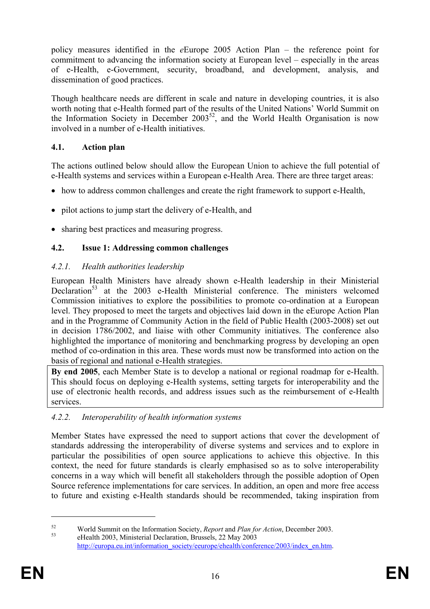policy measures identified in the *e*Europe 2005 Action Plan – the reference point for commitment to advancing the information society at European level – especially in the areas of e-Health, e-Government, security, broadband, and development, analysis, and dissemination of good practices.

Though healthcare needs are different in scale and nature in developing countries, it is also worth noting that e-Health formed part of the results of the United Nations' World Summit on the Information Society in December 2003<sup>52</sup>, and the World Health Organisation is now involved in a number of e-Health initiatives.

## **4.1. Action plan**

The actions outlined below should allow the European Union to achieve the full potential of e-Health systems and services within a European e-Health Area. There are three target areas:

- how to address common challenges and create the right framework to support e-Health,
- pilot actions to jump start the delivery of e-Health, and
- sharing best practices and measuring progress.

# **4.2. Issue 1: Addressing common challenges**

## *4.2.1. Health authorities leadership*

European Health Ministers have already shown e-Health leadership in their Ministerial Declaration<sup>53</sup> at the 2003 e-Health Ministerial conference. The ministers welcomed Commission initiatives to explore the possibilities to promote co-ordination at a European level. They proposed to meet the targets and objectives laid down in the eEurope Action Plan and in the Programme of Community Action in the field of Public Health (2003-2008) set out in decision 1786/2002, and liaise with other Community initiatives. The conference also highlighted the importance of monitoring and benchmarking progress by developing an open method of co-ordination in this area. These words must now be transformed into action on the basis of regional and national e-Health strategies.

**By end 2005**, each Member State is to develop a national or regional roadmap for e-Health. This should focus on deploying e-Health systems, setting targets for interoperability and the use of electronic health records, and address issues such as the reimbursement of e-Health services.

# *4.2.2. Interoperability of health information systems*

Member States have expressed the need to support actions that cover the development of standards addressing the interoperability of diverse systems and services and to explore in particular the possibilities of open source applications to achieve this objective. In this context, the need for future standards is clearly emphasised so as to solve interoperability concerns in a way which will benefit all stakeholders through the possible adoption of Open Source reference implementations for care services. In addition, an open and more free access to future and existing e-Health standards should be recommended, taking inspiration from

<sup>52</sup> World Summit on the Information Society, *Report* and *Plan for Action*, December 2003. 53 eHealth 2003, Ministerial Declaration, Brussels, 22 May 2003

http://europa.eu.int/information\_society/eeurope/ehealth/conference/2003/index\_en.htm.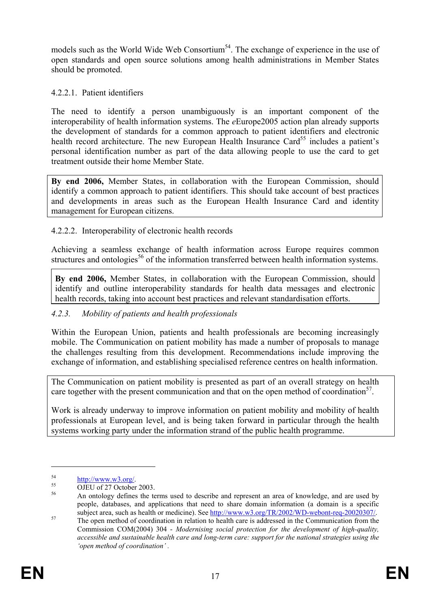models such as the World Wide Web Consortium<sup>54</sup>. The exchange of experience in the use of open standards and open source solutions among health administrations in Member States should be promoted.

#### 4.2.2.1. Patient identifiers

The need to identify a person unambiguously is an important component of the interoperability of health information systems. The *e*Europe2005 action plan already supports the development of standards for a common approach to patient identifiers and electronic health record architecture. The new European Health Insurance Card<sup>55</sup> includes a patient's personal identification number as part of the data allowing people to use the card to get treatment outside their home Member State.

**By end 2006,** Member States, in collaboration with the European Commission, should identify a common approach to patient identifiers. This should take account of best practices and developments in areas such as the European Health Insurance Card and identity management for European citizens.

## 4.2.2.2. Interoperability of electronic health records

Achieving a seamless exchange of health information across Europe requires common structures and ontologies<sup>56</sup> of the information transferred between health information systems.

**By end 2006,** Member States, in collaboration with the European Commission, should identify and outline interoperability standards for health data messages and electronic health records, taking into account best practices and relevant standardisation efforts.

## *4.2.3. Mobility of patients and health professionals*

Within the European Union, patients and health professionals are becoming increasingly mobile. The Communication on patient mobility has made a number of proposals to manage the challenges resulting from this development. Recommendations include improving the exchange of information, and establishing specialised reference centres on health information.

The Communication on patient mobility is presented as part of an overall strategy on health care together with the present communication and that on the open method of coordination<sup>57</sup>.

Work is already underway to improve information on patient mobility and mobility of health professionals at European level, and is being taken forward in particular through the health systems working party under the information strand of the public health programme.

<sup>&</sup>lt;sup>54</sup> http://www.w3.org/.<br>55 OJEU of 27 October 2003.

<sup>56</sup> An ontology defines the terms used to describe and represent an area of knowledge, and are used by people, databases, and applications that need to share domain information (a domain is a specific subject area, such as health or medicine). See http://www.w3.org/TR/2002/WD-webont-req-20020307/.<br>The open method of coordination in relation to health care is addressed in the Communication from the

Commission COM(2004) 304 - *Modernising social protection for the development of high-quality, accessible and sustainable health care and long-term care: support for the national strategies using the 'open method of coordination' .*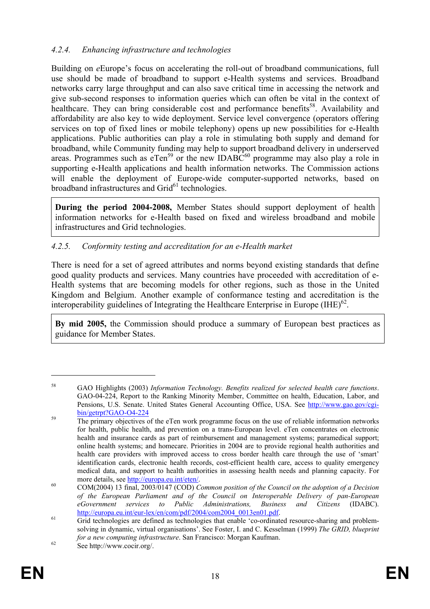## *4.2.4. Enhancing infrastructure and technologies*

Building on *e*Europe's focus on accelerating the roll-out of broadband communications, full use should be made of broadband to support e-Health systems and services. Broadband networks carry large throughput and can also save critical time in accessing the network and give sub-second responses to information queries which can often be vital in the context of healthcare. They can bring considerable cost and performance benefits<sup>58</sup>. Availability and affordability are also key to wide deployment. Service level convergence (operators offering services on top of fixed lines or mobile telephony) opens up new possibilities for e-Health applications. Public authorities can play a role in stimulating both supply and demand for broadband, while Community funding may help to support broadband delivery in underserved areas. Programmes such as  $eTen<sup>59</sup>$  or the new IDABC<sup>60</sup> programme may also play a role in supporting e-Health applications and health information networks. The Commission actions will enable the deployment of Europe-wide computer-supported networks, based on broadband infrastructures and Grid<sup>61</sup> technologies.

**During the period 2004-2008,** Member States should support deployment of health information networks for e-Health based on fixed and wireless broadband and mobile infrastructures and Grid technologies.

## *4.2.5. Conformity testing and accreditation for an e-Health market*

There is need for a set of agreed attributes and norms beyond existing standards that define good quality products and services. Many countries have proceeded with accreditation of e-Health systems that are becoming models for other regions, such as those in the United Kingdom and Belgium. Another example of conformance testing and accreditation is the interoperability guidelines of Integrating the Healthcare Enterprise in Europe  $(HIE)^{62}$ .

**By mid 2005,** the Commission should produce a summary of European best practices as guidance for Member States.

<sup>58</sup> GAO Highlights (2003) *Information Technology. Benefits realized for selected health care functions*. GAO-04-224, Report to the Ranking Minority Member, Committee on health, Education, Labor, and Pensions, U.S. Senate. United States General Accounting Office, USA. See http://www.gao.gov/cgi-

<sup>&</sup>lt;sup>59</sup> The primary objectives of the eTen work programme focus on the use of reliable information networks for health, public health, and prevention on a trans-European level. eTen concentrates on electronic health and insurance cards as part of reimbursement and management systems; paramedical support; online health systems; and homecare. Priorities in 2004 are to provide regional health authorities and health care providers with improved access to cross border health care through the use of 'smart' identification cards, electronic health records, cost-efficient health care, access to quality emergency medical data, and support to health authorities in assessing health needs and planning capacity. For more details, see <u>http://europa.eu.int/eten/</u>.<br>
COM(2004) 13 final, 2003/0147 (COD) *Common position of the Council on the adoption of a Decision* 

*of the European Parliament and of the Council on Interoperable Delivery of pan-European eGovernment services to Public Administrations, Business and Citizens* (IDABC).

http://europa.eu.int/eur-lex/en/com/pdf/2004/com2004\_0013en01.pdf.<br>
61 Grid technologies are defined as technologies that enable 'co-ordinated resource-sharing and problemsolving in dynamic, virtual organisations'. See Foster, I. and C. Kesselman (1999) *The GRID, blueprint for a new computing infrastructure*. San Francisco: Morgan Kaufman.<br>See http://www.cocir.org/.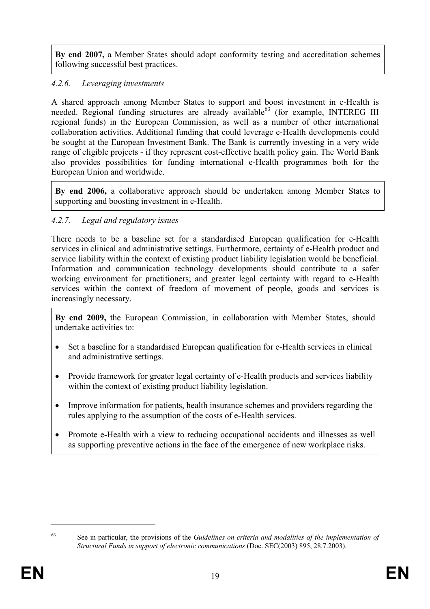**By end 2007,** a Member States should adopt conformity testing and accreditation schemes following successful best practices.

## *4.2.6. Leveraging investments*

A shared approach among Member States to support and boost investment in e-Health is needed. Regional funding structures are already available<sup>63</sup> (for example, INTEREG III regional funds) in the European Commission, as well as a number of other international collaboration activities. Additional funding that could leverage e-Health developments could be sought at the European Investment Bank. The Bank is currently investing in a very wide range of eligible projects - if they represent cost-effective health policy gain. The World Bank also provides possibilities for funding international e-Health programmes both for the European Union and worldwide.

**By end 2006,** a collaborative approach should be undertaken among Member States to supporting and boosting investment in e-Health.

## *4.2.7. Legal and regulatory issues*

There needs to be a baseline set for a standardised European qualification for e-Health services in clinical and administrative settings. Furthermore, certainty of e-Health product and service liability within the context of existing product liability legislation would be beneficial. Information and communication technology developments should contribute to a safer working environment for practitioners; and greater legal certainty with regard to e-Health services within the context of freedom of movement of people, goods and services is increasingly necessary.

**By end 2009,** the European Commission, in collaboration with Member States, should undertake activities to:

- Set a baseline for a standardised European qualification for e-Health services in clinical and administrative settings.
- Provide framework for greater legal certainty of e-Health products and services liability within the context of existing product liability legislation.
- Improve information for patients, health insurance schemes and providers regarding the rules applying to the assumption of the costs of e-Health services.
- Promote e-Health with a view to reducing occupational accidents and illnesses as well as supporting preventive actions in the face of the emergence of new workplace risks.

<sup>63</sup> See in particular, the provisions of the *Guidelines on criteria and modalities of the implementation of Structural Funds in support of electronic communications* (Doc. SEC(2003) 895, 28.7.2003).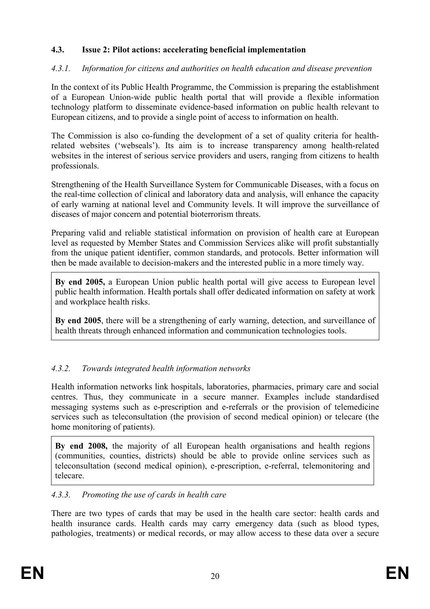#### **4.3. Issue 2: Pilot actions: accelerating beneficial implementation**

#### *4.3.1. Information for citizens and authorities on health education and disease prevention*

In the context of its Public Health Programme, the Commission is preparing the establishment of a European Union-wide public health portal that will provide a flexible information technology platform to disseminate evidence-based information on public health relevant to European citizens, and to provide a single point of access to information on health.

The Commission is also co-funding the development of a set of quality criteria for healthrelated websites ('webseals'). Its aim is to increase transparency among health-related websites in the interest of serious service providers and users, ranging from citizens to health professionals.

Strengthening of the Health Surveillance System for Communicable Diseases, with a focus on the real-time collection of clinical and laboratory data and analysis, will enhance the capacity of early warning at national level and Community levels. It will improve the surveillance of diseases of major concern and potential bioterrorism threats.

Preparing valid and reliable statistical information on provision of health care at European level as requested by Member States and Commission Services alike will profit substantially from the unique patient identifier, common standards, and protocols. Better information will then be made available to decision-makers and the interested public in a more timely way.

**By end 2005,** a European Union public health portal will give access to European level public health information. Health portals shall offer dedicated information on safety at work and workplace health risks.

**By end 2005**, there will be a strengthening of early warning, detection, and surveillance of health threats through enhanced information and communication technologies tools.

#### *4.3.2. Towards integrated health information networks*

Health information networks link hospitals, laboratories, pharmacies, primary care and social centres. Thus, they communicate in a secure manner. Examples include standardised messaging systems such as e-prescription and e-referrals or the provision of telemedicine services such as teleconsultation (the provision of second medical opinion) or telecare (the home monitoring of patients).

**By end 2008,** the majority of all European health organisations and health regions (communities, counties, districts) should be able to provide online services such as teleconsultation (second medical opinion), e-prescription, e-referral, telemonitoring and telecare.

#### *4.3.3. Promoting the use of cards in health care*

There are two types of cards that may be used in the health care sector: health cards and health insurance cards. Health cards may carry emergency data (such as blood types, pathologies, treatments) or medical records, or may allow access to these data over a secure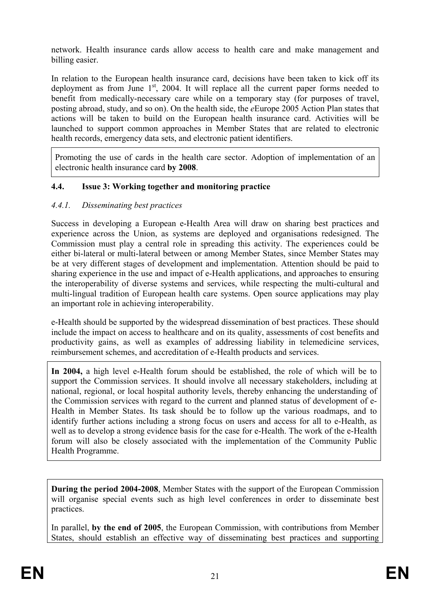network. Health insurance cards allow access to health care and make management and billing easier.

In relation to the European health insurance card, decisions have been taken to kick off its deployment as from June  $1<sup>st</sup>$ , 2004. It will replace all the current paper forms needed to benefit from medically-necessary care while on a temporary stay (for purposes of travel, posting abroad, study, and so on). On the health side, the *e*Europe 2005 Action Plan states that actions will be taken to build on the European health insurance card. Activities will be launched to support common approaches in Member States that are related to electronic health records, emergency data sets, and electronic patient identifiers.

Promoting the use of cards in the health care sector. Adoption of implementation of an electronic health insurance card **by 2008**.

## **4.4. Issue 3: Working together and monitoring practice**

#### *4.4.1. Disseminating best practices*

Success in developing a European e-Health Area will draw on sharing best practices and experience across the Union, as systems are deployed and organisations redesigned. The Commission must play a central role in spreading this activity. The experiences could be either bi-lateral or multi-lateral between or among Member States, since Member States may be at very different stages of development and implementation. Attention should be paid to sharing experience in the use and impact of e-Health applications, and approaches to ensuring the interoperability of diverse systems and services, while respecting the multi-cultural and multi-lingual tradition of European health care systems. Open source applications may play an important role in achieving interoperability.

e-Health should be supported by the widespread dissemination of best practices. These should include the impact on access to healthcare and on its quality, assessments of cost benefits and productivity gains, as well as examples of addressing liability in telemedicine services, reimbursement schemes, and accreditation of e-Health products and services.

**In 2004,** a high level e-Health forum should be established, the role of which will be to support the Commission services. It should involve all necessary stakeholders, including at national, regional, or local hospital authority levels, thereby enhancing the understanding of the Commission services with regard to the current and planned status of development of e-Health in Member States. Its task should be to follow up the various roadmaps, and to identify further actions including a strong focus on users and access for all to e-Health, as well as to develop a strong evidence basis for the case for e-Health. The work of the e-Health forum will also be closely associated with the implementation of the Community Public Health Programme.

**During the period 2004-2008**, Member States with the support of the European Commission will organise special events such as high level conferences in order to disseminate best practices.

In parallel, **by the end of 2005**, the European Commission, with contributions from Member States, should establish an effective way of disseminating best practices and supporting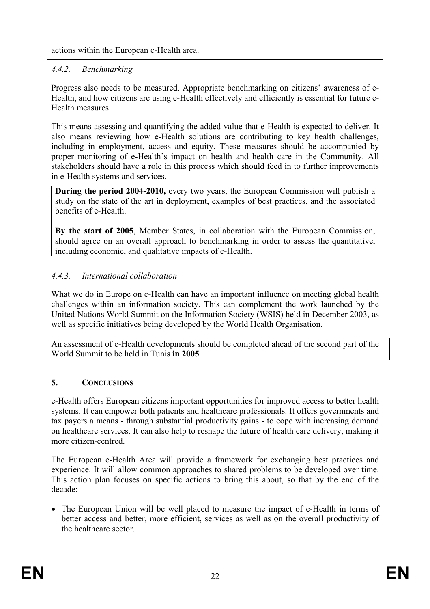actions within the European e-Health area.

## *4.4.2. Benchmarking*

Progress also needs to be measured. Appropriate benchmarking on citizens' awareness of e-Health, and how citizens are using e-Health effectively and efficiently is essential for future e-Health measures.

This means assessing and quantifying the added value that e-Health is expected to deliver. It also means reviewing how e-Health solutions are contributing to key health challenges, including in employment, access and equity. These measures should be accompanied by proper monitoring of e-Health's impact on health and health care in the Community. All stakeholders should have a role in this process which should feed in to further improvements in e-Health systems and services.

**During the period 2004-2010,** every two years, the European Commission will publish a study on the state of the art in deployment, examples of best practices, and the associated benefits of e-Health.

**By the start of 2005**, Member States, in collaboration with the European Commission, should agree on an overall approach to benchmarking in order to assess the quantitative, including economic, and qualitative impacts of e-Health.

## *4.4.3. International collaboration*

What we do in Europe on e-Health can have an important influence on meeting global health challenges within an information society. This can complement the work launched by the United Nations World Summit on the Information Society (WSIS) held in December 2003, as well as specific initiatives being developed by the World Health Organisation.

An assessment of e-Health developments should be completed ahead of the second part of the World Summit to be held in Tunis **in 2005**.

## **5. CONCLUSIONS**

e-Health offers European citizens important opportunities for improved access to better health systems. It can empower both patients and healthcare professionals. It offers governments and tax payers a means - through substantial productivity gains - to cope with increasing demand on healthcare services. It can also help to reshape the future of health care delivery, making it more citizen-centred.

The European e-Health Area will provide a framework for exchanging best practices and experience. It will allow common approaches to shared problems to be developed over time. This action plan focuses on specific actions to bring this about, so that by the end of the decade:

• The European Union will be well placed to measure the impact of e-Health in terms of better access and better, more efficient, services as well as on the overall productivity of the healthcare sector.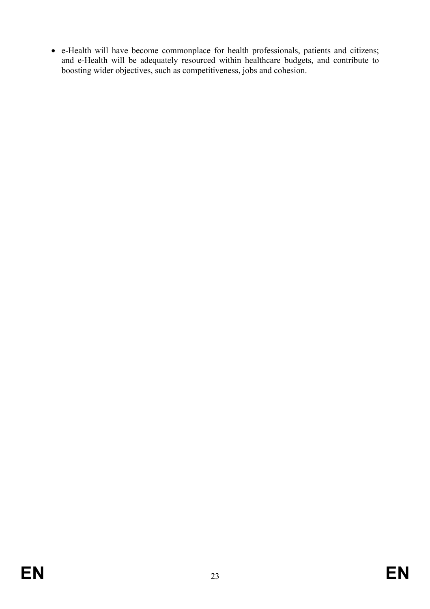• e-Health will have become commonplace for health professionals, patients and citizens; and e-Health will be adequately resourced within healthcare budgets, and contribute to boosting wider objectives, such as competitiveness, jobs and cohesion.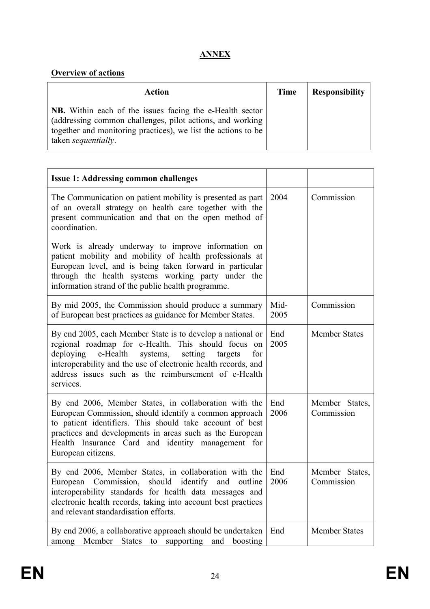# **ANNEX**

# **Overview of actions**

| Action                                                                                                                                                                                                                | <b>Time</b> | <b>Responsibility</b> |
|-----------------------------------------------------------------------------------------------------------------------------------------------------------------------------------------------------------------------|-------------|-----------------------|
| NB. Within each of the issues facing the e-Health sector<br>(addressing common challenges, pilot actions, and working<br>together and monitoring practices), we list the actions to be<br>taken <i>sequentially</i> . |             |                       |

| <b>Issue 1: Addressing common challenges</b>                                                                                                                                                                                                                                                                               |              |                              |
|----------------------------------------------------------------------------------------------------------------------------------------------------------------------------------------------------------------------------------------------------------------------------------------------------------------------------|--------------|------------------------------|
| The Communication on patient mobility is presented as part<br>of an overall strategy on health care together with the<br>present communication and that on the open method of<br>coordination.                                                                                                                             | 2004         | Commission                   |
| Work is already underway to improve information on<br>patient mobility and mobility of health professionals at<br>European level, and is being taken forward in particular<br>through the health systems working party under the<br>information strand of the public health programme.                                     |              |                              |
| By mid 2005, the Commission should produce a summary<br>of European best practices as guidance for Member States.                                                                                                                                                                                                          | Mid-<br>2005 | Commission                   |
| By end 2005, each Member State is to develop a national or<br>regional roadmap for e-Health. This should focus on<br>deploying<br>e-Health<br>setting<br>systems,<br>for<br>targets<br>interoperability and the use of electronic health records, and<br>address issues such as the reimbursement of e-Health<br>services. | End<br>2005  | <b>Member States</b>         |
| By end 2006, Member States, in collaboration with the<br>European Commission, should identify a common approach<br>to patient identifiers. This should take account of best<br>practices and developments in areas such as the European<br>Health Insurance Card and identity management for<br>European citizens.         | End<br>2006  | Member States,<br>Commission |
| By end 2006, Member States, in collaboration with the<br>Commission,<br>should<br>identify<br>and<br>outline<br>European<br>interoperability standards for health data messages and<br>electronic health records, taking into account best practices<br>and relevant standardisation efforts.                              | End<br>2006  | Member States,<br>Commission |
| By end 2006, a collaborative approach should be undertaken<br>Member<br>States to supporting<br>among<br>and<br>boosting                                                                                                                                                                                                   | End          | <b>Member States</b>         |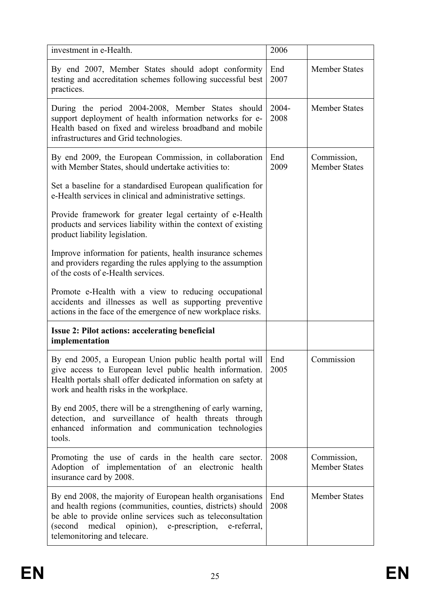| investment in e-Health.                                                                                                                                                                                                                                                                     | 2006          |                                     |
|---------------------------------------------------------------------------------------------------------------------------------------------------------------------------------------------------------------------------------------------------------------------------------------------|---------------|-------------------------------------|
| By end 2007, Member States should adopt conformity<br>testing and accreditation schemes following successful best<br>practices.                                                                                                                                                             | End<br>2007   | <b>Member States</b>                |
| During the period 2004-2008, Member States should<br>support deployment of health information networks for e-<br>Health based on fixed and wireless broadband and mobile<br>infrastructures and Grid technologies.                                                                          | 2004-<br>2008 | <b>Member States</b>                |
| By end 2009, the European Commission, in collaboration<br>with Member States, should undertake activities to:                                                                                                                                                                               | End<br>2009   | Commission,<br><b>Member States</b> |
| Set a baseline for a standardised European qualification for<br>e-Health services in clinical and administrative settings.                                                                                                                                                                  |               |                                     |
| Provide framework for greater legal certainty of e-Health<br>products and services liability within the context of existing<br>product liability legislation.                                                                                                                               |               |                                     |
| Improve information for patients, health insurance schemes<br>and providers regarding the rules applying to the assumption<br>of the costs of e-Health services.                                                                                                                            |               |                                     |
| Promote e-Health with a view to reducing occupational<br>accidents and illnesses as well as supporting preventive<br>actions in the face of the emergence of new workplace risks.                                                                                                           |               |                                     |
| <b>Issue 2: Pilot actions: accelerating beneficial</b><br>implementation                                                                                                                                                                                                                    |               |                                     |
| By end 2005, a European Union public health portal will<br>give access to European level public health information.<br>Health portals shall offer dedicated information on safety at<br>work and health risks in the workplace.                                                             | End<br>2005   | Commission                          |
| By end 2005, there will be a strengthening of early warning,<br>detection, and surveillance of health threats through<br>enhanced information and communication technologies<br>tools.                                                                                                      |               |                                     |
| Promoting the use of cards in the health care sector.<br>Adoption of implementation of an electronic<br>health<br>insurance card by 2008.                                                                                                                                                   | 2008          | Commission,<br><b>Member States</b> |
| By end 2008, the majority of European health organisations<br>and health regions (communities, counties, districts) should<br>be able to provide online services such as teleconsultation<br>medical<br>(second<br>opinion),<br>e-prescription, e-referral,<br>telemonitoring and telecare. | End<br>2008   | <b>Member States</b>                |